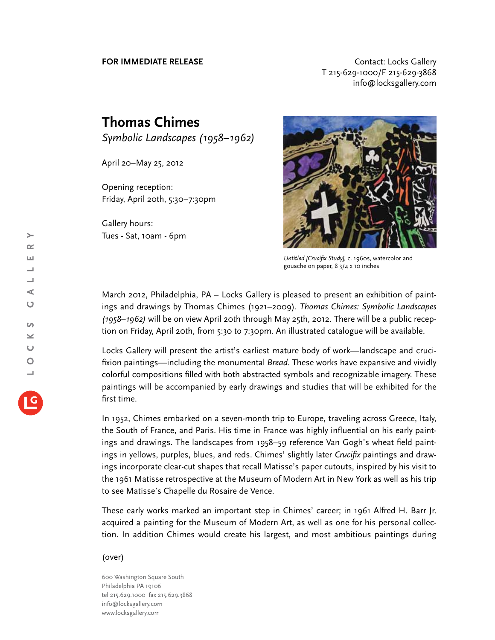**FOR IMMEDIATE RELEASE CONTACT EXAMPLE ASSESS** T 215-629-1000/F 215-629-3868 info@locksgallery.com

## **Thomas Chimes**

*Symbolic Landscapes (1958–1962)*

April 20–May 25, 2012

Opening reception: Friday, April 20th, 5:30–7:30pm

Gallery hours: Tues - Sat, 10am - 6pm



*Untitled [Crucifix Study],* c. 1960s, watercolor and gouache on paper, 8 3/4 x 10 inches

March 2012, Philadelphia, PA – Locks Gallery is pleased to present an exhibition of paintings and drawings by Thomas Chimes (1921–2009). *Thomas Chimes: Symbolic Landscapes (1958–1962)* will be on view April 20th through May 25th, 2012. There will be a public reception on Friday, April 20th, from 5:30 to 7:30pm. An illustrated catalogue will be available.

Locks Gallery will present the artist's earliest mature body of work—landscape and crucifixion paintings—including the monumental *Bread*. These works have expansive and vividly colorful compositions filled with both abstracted symbols and recognizable imagery. These paintings will be accompanied by early drawings and studies that will be exhibited for the first time.

In 1952, Chimes embarked on a seven-month trip to Europe, traveling across Greece, Italy, the South of France, and Paris. His time in France was highly influential on his early paintings and drawings. The landscapes from 1958–59 reference Van Gogh's wheat field paintings in yellows, purples, blues, and reds. Chimes' slightly later *Crucifix* paintings and drawings incorporate clear-cut shapes that recall Matisse's paper cutouts, inspired by his visit to the 1961 Matisse retrospective at the Museum of Modern Art in New York as well as his trip to see Matisse's Chapelle du Rosaire de Vence.

These early works marked an important step in Chimes' career; in 1961 Alfred H. Barr Jr. acquired a painting for the Museum of Modern Art, as well as one for his personal collection. In addition Chimes would create his largest, and most ambitious paintings during

## (over)

600 Washington Square South Philadelphia PA 19106 tel 215.629.1000 fax 215.629.3868 info@locksgallery.com www.locksgallery.com